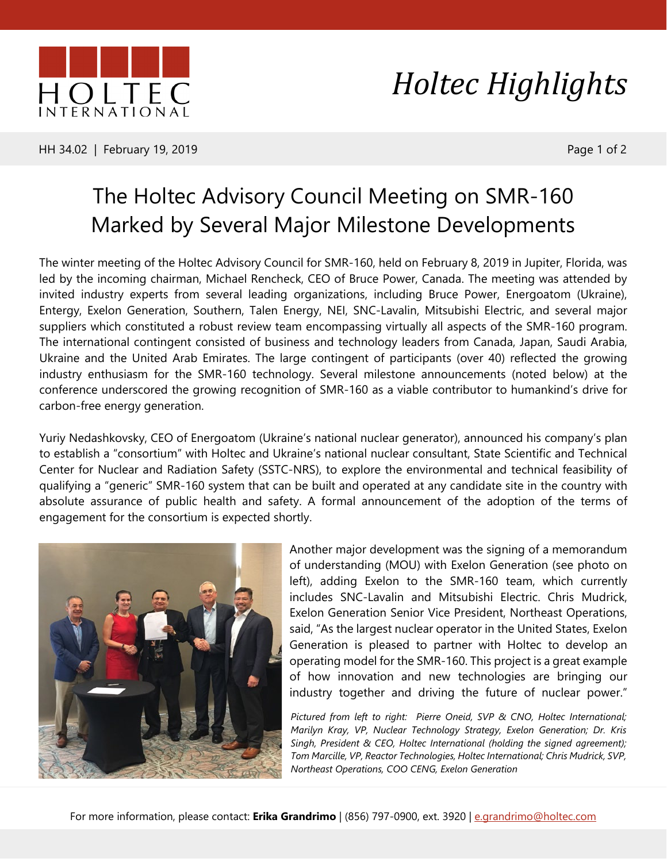

HH 34.02 | February 19, 2019 **Page 1 of 2** 

## *Holtec Highlights*

## The Holtec Advisory Council Meeting on SMR-160 Marked by Several Major Milestone Developments

The winter meeting of the Holtec Advisory Council for SMR-160, held on February 8, 2019 in Jupiter, Florida, was led by the incoming chairman, Michael Rencheck, CEO of Bruce Power, Canada. The meeting was attended by invited industry experts from several leading organizations, including Bruce Power, Energoatom (Ukraine), Entergy, Exelon Generation, Southern, Talen Energy, NEI, SNC-Lavalin, Mitsubishi Electric, and several major suppliers which constituted a robust review team encompassing virtually all aspects of the SMR-160 program. The international contingent consisted of business and technology leaders from Canada, Japan, Saudi Arabia, Ukraine and the United Arab Emirates. The large contingent of participants (over 40) reflected the growing industry enthusiasm for the SMR-160 technology. Several milestone announcements (noted below) at the conference underscored the growing recognition of SMR-160 as a viable contributor to humankind's drive for carbon-free energy generation.

Yuriy Nedashkovsky, CEO of Energoatom (Ukraine's national nuclear generator), announced his company's plan to establish a "consortium" with Holtec and Ukraine's national nuclear consultant, State Scientific and Technical Center for Nuclear and Radiation Safety (SSTC-NRS), to explore the environmental and technical feasibility of qualifying a "generic" SMR-160 system that can be built and operated at any candidate site in the country with absolute assurance of public health and safety. A formal announcement of the adoption of the terms of engagement for the consortium is expected shortly.



Another major development was the signing of a memorandum of understanding (MOU) with Exelon Generation (see photo on left), adding Exelon to the SMR-160 team, which currently includes SNC-Lavalin and Mitsubishi Electric. Chris Mudrick, Exelon Generation Senior Vice President, Northeast Operations, said, "As the largest nuclear operator in the United States, Exelon Generation is pleased to partner with Holtec to develop an operating model for the SMR-160. This project is a great example of how innovation and new technologies are bringing our industry together and driving the future of nuclear power."

*Pictured from left to right: Pierre Oneid, SVP & CNO, Holtec International; Marilyn Kray, VP, Nuclear Technology Strategy, Exelon Generation; Dr. Kris Singh, President & CEO, Holtec International (holding the signed agreement); Tom Marcille, VP, Reactor Technologies, Holtec International; Chris Mudrick, SVP, Northeast Operations, COO CENG, Exelon Generation*